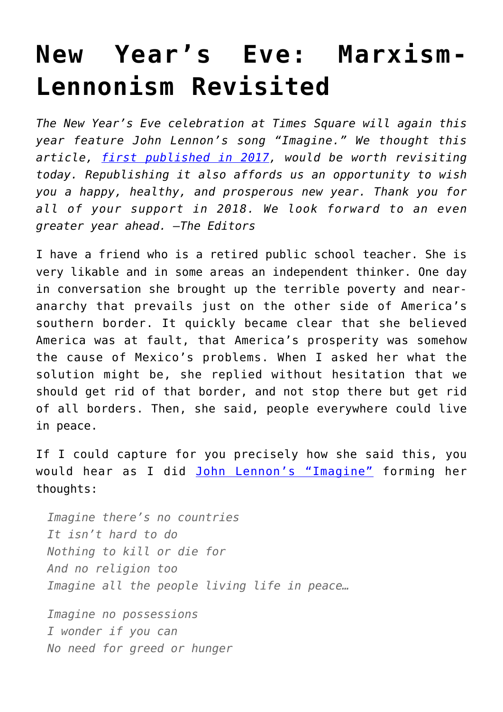## **[New Year's Eve: Marxism-](https://intellectualtakeout.org/2018/12/new-years-eve-marxism-lennonism-revisited/)[Lennonism Revisited](https://intellectualtakeout.org/2018/12/new-years-eve-marxism-lennonism-revisited/)**

*The New Year's Eve celebration at Times Square will again this year feature John Lennon's song "Imagine." We thought this article, [first published in 2017](https://amgreatness.com/2017/03/25/americanism-vs-marxism-lennonism/), would be worth revisiting today. Republishing it also affords us an opportunity to wish you a happy, healthy, and prosperous new year. Thank you for all of your support in 2018. We look forward to an even greater year ahead. —The Editors*

I have a friend who is a retired public school teacher. She is very likable and in some areas an independent thinker. One day in conversation she brought up the terrible poverty and nearanarchy that prevails just on the other side of America's southern border. It quickly became clear that she believed America was at fault, that America's prosperity was somehow the cause of Mexico's problems. When I asked her what the solution might be, she replied without hesitation that we should get rid of that border, and not stop there but get rid of all borders. Then, she said, people everywhere could live in peace.

If I could capture for you precisely how she said this, you would hear as I did [John Lennon's "Imagine"](https://www.youtube.com/watch?v=VOgFZfRVaww) forming her thoughts:

*Imagine there's no countries It isn't hard to do Nothing to kill or die for And no religion too Imagine all the people living life in peace…*

*Imagine no possessions I wonder if you can No need for greed or hunger*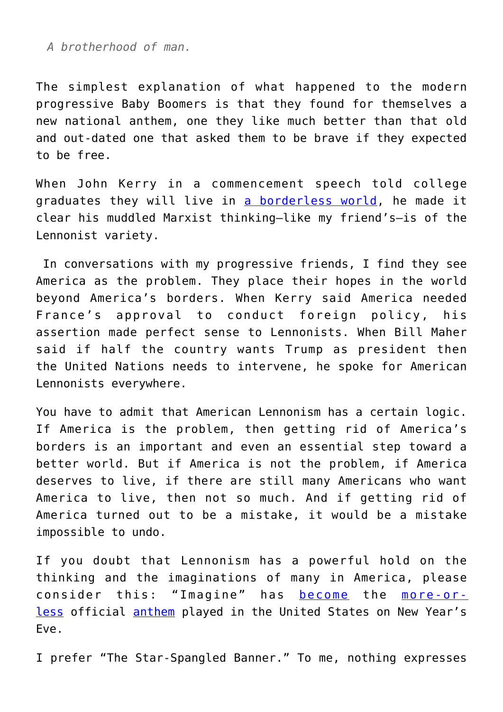*A brotherhood of man.*

The simplest explanation of what happened to the modern progressive Baby Boomers is that they found for themselves a new national anthem, one they like much better than that old and out-dated one that asked them to be brave if they expected to be free.

When John Kerry in a commencement speech told college graduates they will live in [a borderless world,](https://www.washingtonexaminer.com/kerry-slams-trumps-wall-tells-grads-to-prepare-for-borderless-world) he made it clear his muddled Marxist thinking—like my friend's—is of the Lennonist variety.

 In conversations with my progressive friends, I find they see America as the problem. They place their hopes in the world beyond America's borders. When Kerry said America needed France's approval to conduct foreign policy, his assertion made perfect sense to Lennonists. When Bill Maher said if half the country wants Trump as president then the United Nations needs to intervene, he spoke for American Lennonists everywhere.

You have to admit that American Lennonism has a certain logic. If America is the problem, then getting rid of America's borders is an important and even an essential step toward a better world. But if America is not the problem, if America deserves to live, if there are still many Americans who want America to live, then not so much. And if getting rid of America turned out to be a mistake, it would be a mistake impossible to undo.

If you doubt that Lennonism has a powerful hold on the thinking and the imaginations of many in America, please consider this: "Imagine" has **[become](https://www.youtube.com/watch?v=1fIkm4Y57p0)** the [more-or](https://www.youtube.com/watch?v=Sw8CF7IWzy0)[less](https://www.youtube.com/watch?v=Sw8CF7IWzy0) official [anthem](https://www.youtube.com/watch?v=-eHQylcijFk) played in the United States on New Year's Eve.

I prefer "The Star-Spangled Banner." To me, nothing expresses